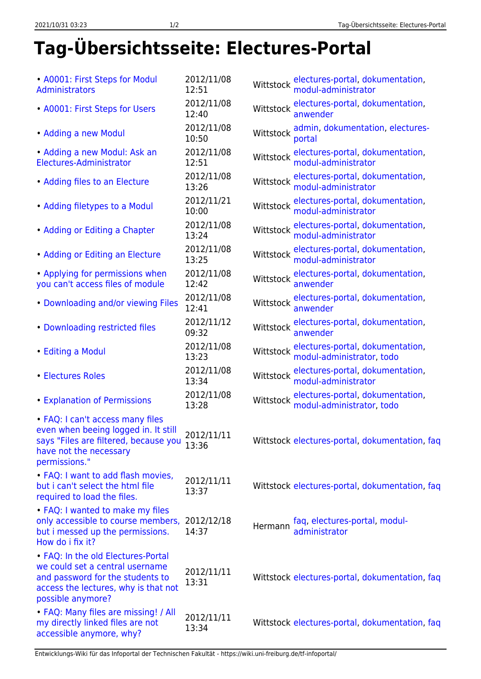## **Tag-Übersichtsseite: Electures-Portal**

| • A0001: First Steps for Modul<br>Administrators                                                                                                                       | 2012/11/08<br>12:51 | electures-portal, dokumentation,<br>modul-administrator<br>Wittstock       |
|------------------------------------------------------------------------------------------------------------------------------------------------------------------------|---------------------|----------------------------------------------------------------------------|
| • A0001: First Steps for Users                                                                                                                                         | 2012/11/08<br>12:40 | electures-portal, dokumentation,<br>Wittstock<br>anwender                  |
| • Adding a new Modul                                                                                                                                                   | 2012/11/08<br>10:50 | admin, dokumentation, electures-<br>Wittstock<br>portal                    |
| • Adding a new Modul: Ask an<br>Electures-Administrator                                                                                                                | 2012/11/08<br>12:51 | electures-portal, dokumentation,<br>modul-administrator<br>Wittstock       |
| • Adding files to an Electure                                                                                                                                          | 2012/11/08<br>13:26 | electures-portal, dokumentation,<br>Wittstock<br>modul-administrator       |
| • Adding filetypes to a Modul                                                                                                                                          | 2012/11/21<br>10:00 | electures-portal, dokumentation,<br>Wittstock<br>modul-administrator       |
| • Adding or Editing a Chapter                                                                                                                                          | 2012/11/08<br>13:24 | electures-portal, dokumentation,<br>Wittstock<br>modul-administrator       |
| • Adding or Editing an Electure                                                                                                                                        | 2012/11/08<br>13:25 | electures-portal, dokumentation,<br>Wittstock<br>modul-administrator       |
| • Applying for permissions when<br>you can't access files of module                                                                                                    | 2012/11/08<br>12:42 | electures-portal, dokumentation,<br>Wittstock<br>anwender                  |
| • Downloading and/or viewing Files                                                                                                                                     | 2012/11/08<br>12:41 | electures-portal, dokumentation,<br>Wittstock<br>anwender                  |
| • Downloading restricted files                                                                                                                                         | 2012/11/12<br>09:32 | electures-portal, dokumentation,<br>Wittstock<br>anwender                  |
| • Editing a Modul                                                                                                                                                      | 2012/11/08<br>13:23 | electures-portal, dokumentation,<br>Wittstock<br>modul-administrator, todo |
| • Electures Roles                                                                                                                                                      | 2012/11/08<br>13:34 | electures-portal, dokumentation,<br>Wittstock<br>modul-administrator       |
| <b>• Explanation of Permissions</b>                                                                                                                                    | 2012/11/08<br>13:28 | electures-portal, dokumentation,<br>Wittstock<br>modul-administrator, todo |
| • FAQ: I can't access many files<br>even when beeing logged in. It still<br>says "Files are filtered, because you<br>have not the necessary<br>permissions."           | 2012/11/11<br>13:36 | Wittstock electures-portal, dokumentation, faq                             |
| • FAQ: I want to add flash movies,<br>but i can't select the html file<br>required to load the files.                                                                  | 2012/11/11<br>13:37 | Wittstock electures-portal, dokumentation, faq                             |
| • FAQ: I wanted to make my files<br>only accessible to course members,<br>but i messed up the permissions.<br>How do i fix it?                                         | 2012/12/18<br>14:37 | faq, electures-portal, modul-<br>Hermann<br>administrator                  |
| • FAQ: In the old Electures-Portal<br>we could set a central username<br>and password for the students to<br>access the lectures, why is that not<br>possible anymore? | 2012/11/11<br>13:31 | Wittstock electures-portal, dokumentation, faq                             |
| • FAQ: Many files are missing! / All<br>my directly linked files are not<br>accessible anymore, why?                                                                   | 2012/11/11<br>13:34 | Wittstock electures-portal, dokumentation, faq                             |

Entwicklungs-Wiki für das Infoportal der Technischen Fakultät - https://wiki.uni-freiburg.de/tf-infoportal/